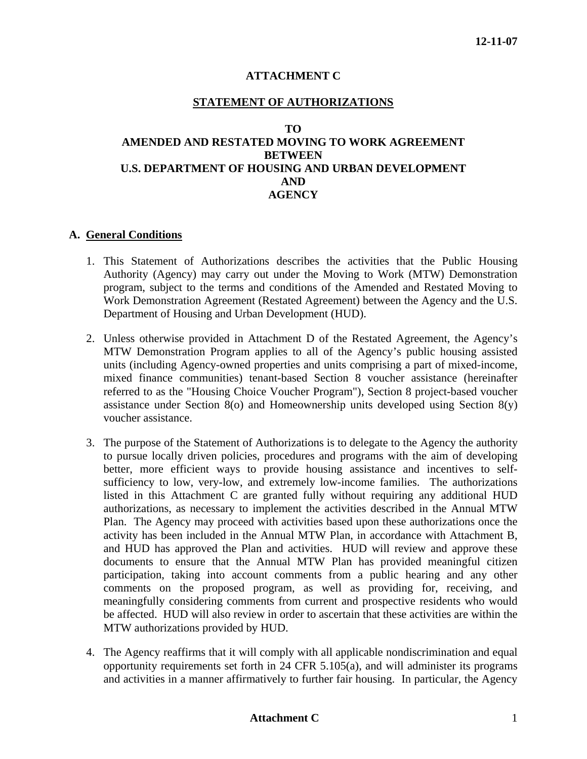# **ATTACHMENT C**

### **STATEMENT OF AUTHORIZATIONS**

#### **TO**

# **AMENDED AND RESTATED MOVING TO WORK AGREEMENT BETWEEN U.S. DEPARTMENT OF HOUSING AND URBAN DEVELOPMENT AND AGENCY**

#### **A. General Conditions**

- 1. This Statement of Authorizations describes the activities that the Public Housing Authority (Agency) may carry out under the Moving to Work (MTW) Demonstration program, subject to the terms and conditions of the Amended and Restated Moving to Work Demonstration Agreement (Restated Agreement) between the Agency and the U.S. Department of Housing and Urban Development (HUD).
- 2. Unless otherwise provided in Attachment D of the Restated Agreement, the Agency's MTW Demonstration Program applies to all of the Agency's public housing assisted units (including Agency-owned properties and units comprising a part of mixed-income, mixed finance communities) tenant-based Section 8 voucher assistance (hereinafter referred to as the "Housing Choice Voucher Program"), Section 8 project-based voucher assistance under Section 8(o) and Homeownership units developed using Section 8(y) voucher assistance.
- 3. The purpose of the Statement of Authorizations is to delegate to the Agency the authority to pursue locally driven policies, procedures and programs with the aim of developing better, more efficient ways to provide housing assistance and incentives to selfsufficiency to low, very-low, and extremely low-income families. The authorizations listed in this Attachment C are granted fully without requiring any additional HUD authorizations, as necessary to implement the activities described in the Annual MTW Plan. The Agency may proceed with activities based upon these authorizations once the activity has been included in the Annual MTW Plan, in accordance with Attachment B, and HUD has approved the Plan and activities. HUD will review and approve these documents to ensure that the Annual MTW Plan has provided meaningful citizen participation, taking into account comments from a public hearing and any other comments on the proposed program, as well as providing for, receiving, and meaningfully considering comments from current and prospective residents who would be affected. HUD will also review in order to ascertain that these activities are within the MTW authorizations provided by HUD.
- 4. The Agency reaffirms that it will comply with all applicable nondiscrimination and equal opportunity requirements set forth in 24 CFR 5.105(a), and will administer its programs and activities in a manner affirmatively to further fair housing. In particular, the Agency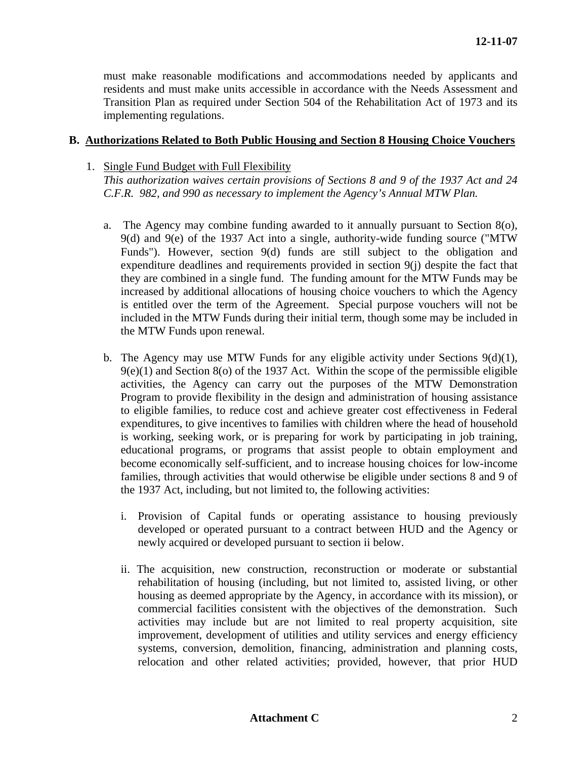must make reasonable modifications and accommodations needed by applicants and residents and must make units accessible in accordance with the Needs Assessment and Transition Plan as required under Section 504 of the Rehabilitation Act of 1973 and its implementing regulations.

#### **B. Authorizations Related to Both Public Housing and Section 8 Housing Choice Vouchers**

### 1. Single Fund Budget with Full Flexibility

*This authorization waives certain provisions of Sections 8 and 9 of the 1937 Act and 24 C.F.R. 982, and 990 as necessary to implement the Agency's Annual MTW Plan.* 

- a. The Agency may combine funding awarded to it annually pursuant to Section 8(o), 9(d) and 9(e) of the 1937 Act into a single, authority-wide funding source ("MTW Funds"). However, section 9(d) funds are still subject to the obligation and expenditure deadlines and requirements provided in section 9(j) despite the fact that they are combined in a single fund. The funding amount for the MTW Funds may be increased by additional allocations of housing choice vouchers to which the Agency is entitled over the term of the Agreement. Special purpose vouchers will not be included in the MTW Funds during their initial term, though some may be included in the MTW Funds upon renewal.
- b. The Agency may use MTW Funds for any eligible activity under Sections 9(d)(1),  $9(e)(1)$  and Section  $8(0)$  of the 1937 Act. Within the scope of the permissible eligible activities, the Agency can carry out the purposes of the MTW Demonstration Program to provide flexibility in the design and administration of housing assistance to eligible families, to reduce cost and achieve greater cost effectiveness in Federal expenditures, to give incentives to families with children where the head of household is working, seeking work, or is preparing for work by participating in job training, educational programs, or programs that assist people to obtain employment and become economically self-sufficient, and to increase housing choices for low-income families, through activities that would otherwise be eligible under sections 8 and 9 of the 1937 Act, including, but not limited to, the following activities:
	- i. Provision of Capital funds or operating assistance to housing previously developed or operated pursuant to a contract between HUD and the Agency or newly acquired or developed pursuant to section ii below.
	- ii. The acquisition, new construction, reconstruction or moderate or substantial rehabilitation of housing (including, but not limited to, assisted living, or other housing as deemed appropriate by the Agency, in accordance with its mission), or commercial facilities consistent with the objectives of the demonstration. Such activities may include but are not limited to real property acquisition, site improvement, development of utilities and utility services and energy efficiency systems, conversion, demolition, financing, administration and planning costs, relocation and other related activities; provided, however, that prior HUD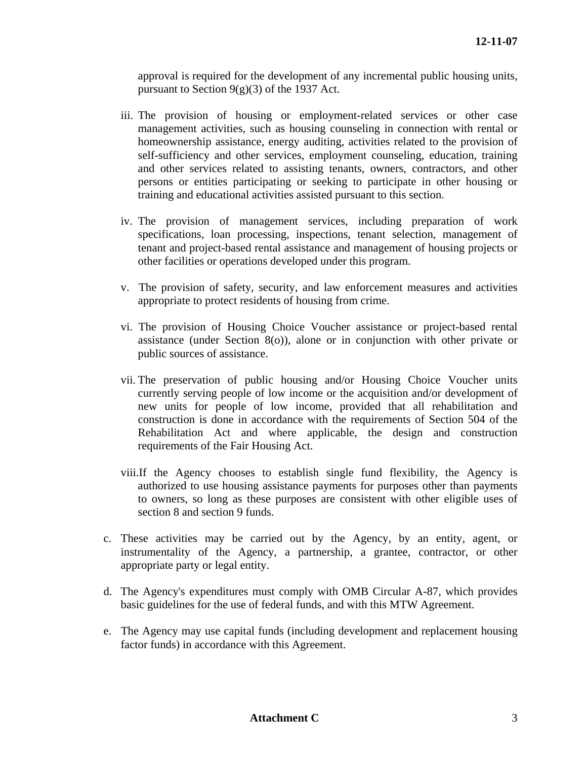approval is required for the development of any incremental public housing units, pursuant to Section  $9(g)(3)$  of the 1937 Act.

- iii. The provision of housing or employment-related services or other case management activities, such as housing counseling in connection with rental or homeownership assistance, energy auditing, activities related to the provision of self-sufficiency and other services, employment counseling, education, training and other services related to assisting tenants, owners, contractors, and other persons or entities participating or seeking to participate in other housing or training and educational activities assisted pursuant to this section.
- iv. The provision of management services, including preparation of work specifications, loan processing, inspections, tenant selection, management of tenant and project-based rental assistance and management of housing projects or other facilities or operations developed under this program.
- v. The provision of safety, security, and law enforcement measures and activities appropriate to protect residents of housing from crime.
- vi. The provision of Housing Choice Voucher assistance or project-based rental assistance (under Section 8(o)), alone or in conjunction with other private or public sources of assistance.
- vii. The preservation of public housing and/or Housing Choice Voucher units currently serving people of low income or the acquisition and/or development of new units for people of low income, provided that all rehabilitation and construction is done in accordance with the requirements of Section 504 of the Rehabilitation Act and where applicable, the design and construction requirements of the Fair Housing Act.
- viii.If the Agency chooses to establish single fund flexibility, the Agency is authorized to use housing assistance payments for purposes other than payments to owners, so long as these purposes are consistent with other eligible uses of section 8 and section 9 funds.
- c. These activities may be carried out by the Agency, by an entity, agent, or instrumentality of the Agency, a partnership, a grantee, contractor, or other appropriate party or legal entity.
- d. The Agency's expenditures must comply with OMB Circular A-87, which provides basic guidelines for the use of federal funds, and with this MTW Agreement.
- e. The Agency may use capital funds (including development and replacement housing factor funds) in accordance with this Agreement.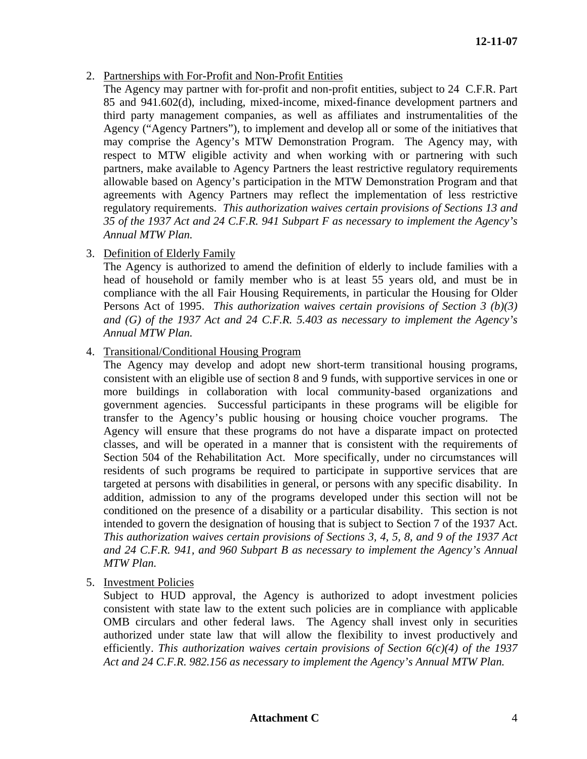- 2. Partnerships with For-Profit and Non-Profit Entities
	- The Agency may partner with for-profit and non-profit entities, subject to 24 C.F.R. Part 85 and 941.602(d), including, mixed-income, mixed-finance development partners and third party management companies, as well as affiliates and instrumentalities of the Agency ("Agency Partners"), to implement and develop all or some of the initiatives that may comprise the Agency's MTW Demonstration Program. The Agency may, with respect to MTW eligible activity and when working with or partnering with such partners, make available to Agency Partners the least restrictive regulatory requirements allowable based on Agency's participation in the MTW Demonstration Program and that agreements with Agency Partners may reflect the implementation of less restrictive regulatory requirements. *This authorization waives certain provisions of Sections 13 and 35 of the 1937 Act and 24 C.F.R. 941 Subpart F as necessary to implement the Agency's Annual MTW Plan.*
- 3. Definition of Elderly Family

The Agency is authorized to amend the definition of elderly to include families with a head of household or family member who is at least 55 years old, and must be in compliance with the all Fair Housing Requirements, in particular the Housing for Older Persons Act of 1995. *This authorization waives certain provisions of Section 3 (b)(3) and (G) of the 1937 Act and 24 C.F.R. 5.403 as necessary to implement the Agency's Annual MTW Plan.* 

4. Transitional/Conditional Housing Program

The Agency may develop and adopt new short-term transitional housing programs, consistent with an eligible use of section 8 and 9 funds, with supportive services in one or more buildings in collaboration with local community-based organizations and government agencies. Successful participants in these programs will be eligible for transfer to the Agency's public housing or housing choice voucher programs. The Agency will ensure that these programs do not have a disparate impact on protected classes, and will be operated in a manner that is consistent with the requirements of Section 504 of the Rehabilitation Act. More specifically, under no circumstances will residents of such programs be required to participate in supportive services that are targeted at persons with disabilities in general, or persons with any specific disability. In addition, admission to any of the programs developed under this section will not be conditioned on the presence of a disability or a particular disability. This section is not intended to govern the designation of housing that is subject to Section 7 of the 1937 Act. *This authorization waives certain provisions of Sections 3, 4, 5, 8, and 9 of the 1937 Act and 24 C.F.R. 941, and 960 Subpart B as necessary to implement the Agency's Annual MTW Plan.* 

5. Investment Policies

Subject to HUD approval, the Agency is authorized to adopt investment policies consistent with state law to the extent such policies are in compliance with applicable OMB circulars and other federal laws. The Agency shall invest only in securities authorized under state law that will allow the flexibility to invest productively and efficiently. *This authorization waives certain provisions of Section 6(c)(4) of the 1937 Act and 24 C.F.R. 982.156 as necessary to implement the Agency's Annual MTW Plan.*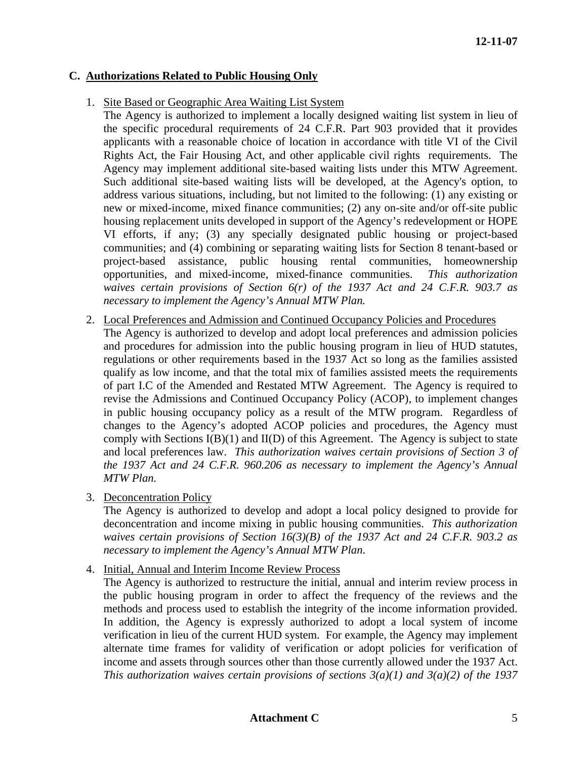# **C. Authorizations Related to Public Housing Only**

1. Site Based or Geographic Area Waiting List System

The Agency is authorized to implement a locally designed waiting list system in lieu of the specific procedural requirements of 24 C.F.R. Part 903 provided that it provides applicants with a reasonable choice of location in accordance with title VI of the Civil Rights Act, the Fair Housing Act, and other applicable civil rights requirements. The Agency may implement additional site-based waiting lists under this MTW Agreement. Such additional site-based waiting lists will be developed, at the Agency's option, to address various situations, including, but not limited to the following: (1) any existing or new or mixed-income, mixed finance communities; (2) any on-site and/or off-site public housing replacement units developed in support of the Agency's redevelopment or HOPE VI efforts, if any; (3) any specially designated public housing or project-based communities; and (4) combining or separating waiting lists for Section 8 tenant-based or project-based assistance, public housing rental communities, homeownership opportunities, and mixed-income, mixed-finance communities. *This authorization waives certain provisions of Section 6(r) of the 1937 Act and 24 C.F.R. 903.7 as necessary to implement the Agency's Annual MTW Plan.* 

2. Local Preferences and Admission and Continued Occupancy Policies and Procedures

The Agency is authorized to develop and adopt local preferences and admission policies and procedures for admission into the public housing program in lieu of HUD statutes, regulations or other requirements based in the 1937 Act so long as the families assisted qualify as low income, and that the total mix of families assisted meets the requirements of part I.C of the Amended and Restated MTW Agreement. The Agency is required to revise the Admissions and Continued Occupancy Policy (ACOP), to implement changes in public housing occupancy policy as a result of the MTW program. Regardless of changes to the Agency's adopted ACOP policies and procedures, the Agency must comply with Sections  $I(B)(1)$  and  $II(D)$  of this Agreement. The Agency is subject to state and local preferences law. *This authorization waives certain provisions of Section 3 of the 1937 Act and 24 C.F.R. 960.206 as necessary to implement the Agency's Annual MTW Plan.* 

3. Deconcentration Policy

The Agency is authorized to develop and adopt a local policy designed to provide for deconcentration and income mixing in public housing communities. *This authorization waives certain provisions of Section 16(3)(B) of the 1937 Act and 24 C.F.R. 903.2 as necessary to implement the Agency's Annual MTW Plan*.

4. Initial, Annual and Interim Income Review Process

The Agency is authorized to restructure the initial, annual and interim review process in the public housing program in order to affect the frequency of the reviews and the methods and process used to establish the integrity of the income information provided. In addition, the Agency is expressly authorized to adopt a local system of income verification in lieu of the current HUD system. For example, the Agency may implement alternate time frames for validity of verification or adopt policies for verification of income and assets through sources other than those currently allowed under the 1937 Act. *This authorization waives certain provisions of sections 3(a)(1) and 3(a)(2) of the 1937*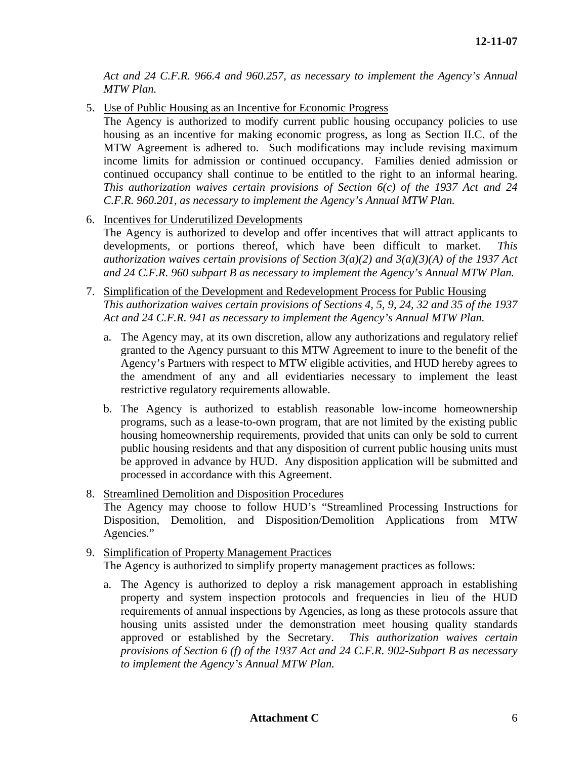*Act and 24 C.F.R. 966.4 and 960.257, as necessary to implement the Agency's Annual MTW Plan.* 

5. Use of Public Housing as an Incentive for Economic Progress

The Agency is authorized to modify current public housing occupancy policies to use housing as an incentive for making economic progress, as long as Section II.C. of the MTW Agreement is adhered to. Such modifications may include revising maximum income limits for admission or continued occupancy. Families denied admission or continued occupancy shall continue to be entitled to the right to an informal hearing. *This authorization waives certain provisions of Section 6(c) of the 1937 Act and 24 C.F.R. 960.201, as necessary to implement the Agency's Annual MTW Plan.* 

6. Incentives for Underutilized Developments

The Agency is authorized to develop and offer incentives that will attract applicants to developments, or portions thereof, which have been difficult to market. *This authorization waives certain provisions of Section 3(a)(2) and 3(a)(3)(A) of the 1937 Act and 24 C.F.R. 960 subpart B as necessary to implement the Agency's Annual MTW Plan.* 

- 7. Simplification of the Development and Redevelopment Process for Public Housing *This authorization waives certain provisions of Sections 4, 5, 9, 24, 32 and 35 of the 1937 Act and 24 C.F.R. 941 as necessary to implement the Agency's Annual MTW Plan.* 
	- a. The Agency may, at its own discretion, allow any authorizations and regulatory relief granted to the Agency pursuant to this MTW Agreement to inure to the benefit of the Agency's Partners with respect to MTW eligible activities, and HUD hereby agrees to the amendment of any and all evidentiaries necessary to implement the least restrictive regulatory requirements allowable.
	- b. The Agency is authorized to establish reasonable low-income homeownership programs, such as a lease-to-own program, that are not limited by the existing public housing homeownership requirements, provided that units can only be sold to current public housing residents and that any disposition of current public housing units must be approved in advance by HUD. Any disposition application will be submitted and processed in accordance with this Agreement.
- 8. Streamlined Demolition and Disposition Procedures The Agency may choose to follow HUD's "Streamlined Processing Instructions for Disposition, Demolition, and Disposition/Demolition Applications from MTW Agencies."
- 9. Simplification of Property Management Practices The Agency is authorized to simplify property management practices as follows:
	- a. The Agency is authorized to deploy a risk management approach in establishing property and system inspection protocols and frequencies in lieu of the HUD requirements of annual inspections by Agencies, as long as these protocols assure that housing units assisted under the demonstration meet housing quality standards approved or established by the Secretary. *This authorization waives certain provisions of Section 6 (f) of the 1937 Act and 24 C.F.R. 902-Subpart B as necessary to implement the Agency's Annual MTW Plan.*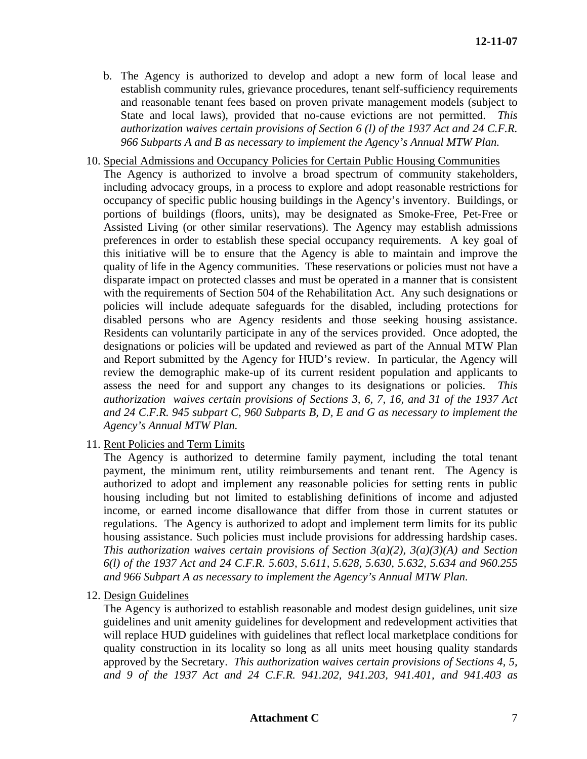- b. The Agency is authorized to develop and adopt a new form of local lease and establish community rules, grievance procedures, tenant self-sufficiency requirements and reasonable tenant fees based on proven private management models (subject to State and local laws), provided that no-cause evictions are not permitted. *This authorization waives certain provisions of Section 6 (l) of the 1937 Act and 24 C.F.R. 966 Subparts A and B as necessary to implement the Agency's Annual MTW Plan.*
- 10. Special Admissions and Occupancy Policies for Certain Public Housing Communities The Agency is authorized to involve a broad spectrum of community stakeholders, including advocacy groups, in a process to explore and adopt reasonable restrictions for occupancy of specific public housing buildings in the Agency's inventory. Buildings, or portions of buildings (floors, units), may be designated as Smoke-Free, Pet-Free or Assisted Living (or other similar reservations). The Agency may establish admissions preferences in order to establish these special occupancy requirements. A key goal of this initiative will be to ensure that the Agency is able to maintain and improve the quality of life in the Agency communities. These reservations or policies must not have a disparate impact on protected classes and must be operated in a manner that is consistent with the requirements of Section 504 of the Rehabilitation Act. Any such designations or policies will include adequate safeguards for the disabled, including protections for disabled persons who are Agency residents and those seeking housing assistance. Residents can voluntarily participate in any of the services provided. Once adopted, the designations or policies will be updated and reviewed as part of the Annual MTW Plan and Report submitted by the Agency for HUD's review. In particular, the Agency will review the demographic make-up of its current resident population and applicants to assess the need for and support any changes to its designations or policies. *This authorization waives certain provisions of Sections 3, 6, 7, 16, and 31 of the 1937 Act and 24 C.F.R. 945 subpart C, 960 Subparts B, D, E and G as necessary to implement the Agency's Annual MTW Plan.*
- 11. Rent Policies and Term Limits

The Agency is authorized to determine family payment, including the total tenant payment, the minimum rent, utility reimbursements and tenant rent. The Agency is authorized to adopt and implement any reasonable policies for setting rents in public housing including but not limited to establishing definitions of income and adjusted income, or earned income disallowance that differ from those in current statutes or regulations. The Agency is authorized to adopt and implement term limits for its public housing assistance. Such policies must include provisions for addressing hardship cases. *This authorization waives certain provisions of Section 3(a)(2), 3(a)(3)(A) and Section 6(l) of the 1937 Act and 24 C.F.R. 5.603, 5.611, 5.628, 5.630, 5.632, 5.634 and 960.255 and 966 Subpart A as necessary to implement the Agency's Annual MTW Plan.* 

12. Design Guidelines

The Agency is authorized to establish reasonable and modest design guidelines, unit size guidelines and unit amenity guidelines for development and redevelopment activities that will replace HUD guidelines with guidelines that reflect local marketplace conditions for quality construction in its locality so long as all units meet housing quality standards approved by the Secretary. *This authorization waives certain provisions of Sections 4, 5, and 9 of the 1937 Act and 24 C.F.R. 941.202, 941.203, 941.401, and 941.403 as*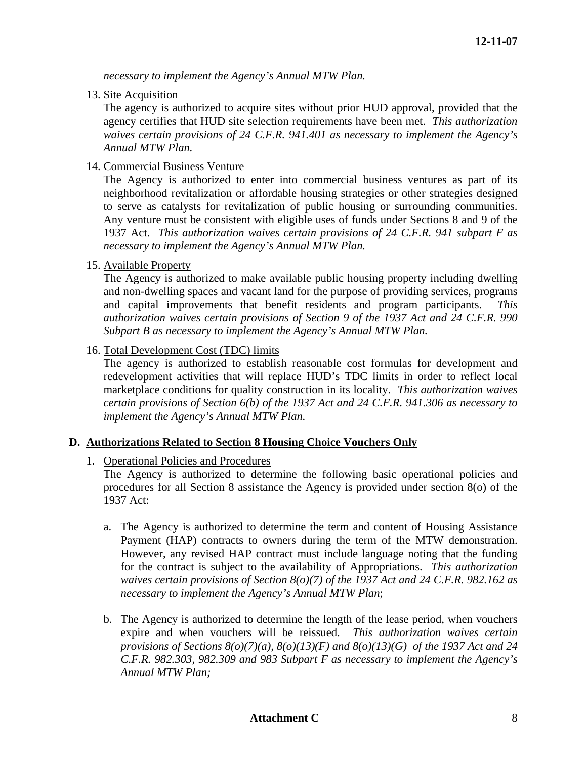*necessary to implement the Agency's Annual MTW Plan.* 

13. Site Acquisition

The agency is authorized to acquire sites without prior HUD approval, provided that the agency certifies that HUD site selection requirements have been met. *This authorization waives certain provisions of 24 C.F.R. 941.401 as necessary to implement the Agency's Annual MTW Plan.* 

14. Commercial Business Venture

The Agency is authorized to enter into commercial business ventures as part of its neighborhood revitalization or affordable housing strategies or other strategies designed to serve as catalysts for revitalization of public housing or surrounding communities. Any venture must be consistent with eligible uses of funds under Sections 8 and 9 of the 1937 Act. *This authorization waives certain provisions of 24 C.F.R. 941 subpart F as necessary to implement the Agency's Annual MTW Plan.*

15. Available Property

The Agency is authorized to make available public housing property including dwelling and non-dwelling spaces and vacant land for the purpose of providing services, programs and capital improvements that benefit residents and program participants. *This authorization waives certain provisions of Section 9 of the 1937 Act and 24 C.F.R. 990 Subpart B as necessary to implement the Agency's Annual MTW Plan.*

16. Total Development Cost (TDC) limits

The agency is authorized to establish reasonable cost formulas for development and redevelopment activities that will replace HUD's TDC limits in order to reflect local marketplace conditions for quality construction in its locality. *This authorization waives certain provisions of Section 6(b) of the 1937 Act and 24 C.F.R. 941.306 as necessary to implement the Agency's Annual MTW Plan.*

### **D. Authorizations Related to Section 8 Housing Choice Vouchers Only**

1. Operational Policies and Procedures

The Agency is authorized to determine the following basic operational policies and procedures for all Section 8 assistance the Agency is provided under section 8(o) of the 1937 Act:

- a. The Agency is authorized to determine the term and content of Housing Assistance Payment (HAP) contracts to owners during the term of the MTW demonstration. However, any revised HAP contract must include language noting that the funding for the contract is subject to the availability of Appropriations. *This authorization waives certain provisions of Section 8(o)(7) of the 1937 Act and 24 C.F.R. 982.162 as necessary to implement the Agency's Annual MTW Plan*;
- b. The Agency is authorized to determine the length of the lease period, when vouchers expire and when vouchers will be reissued. *This authorization waives certain provisions of Sections 8(o)(7)(a), 8(o)(13)(F) and 8(o)(13)(G) of the 1937 Act and 24 C.F.R. 982.303, 982.309 and 983 Subpart F as necessary to implement the Agency's Annual MTW Plan;*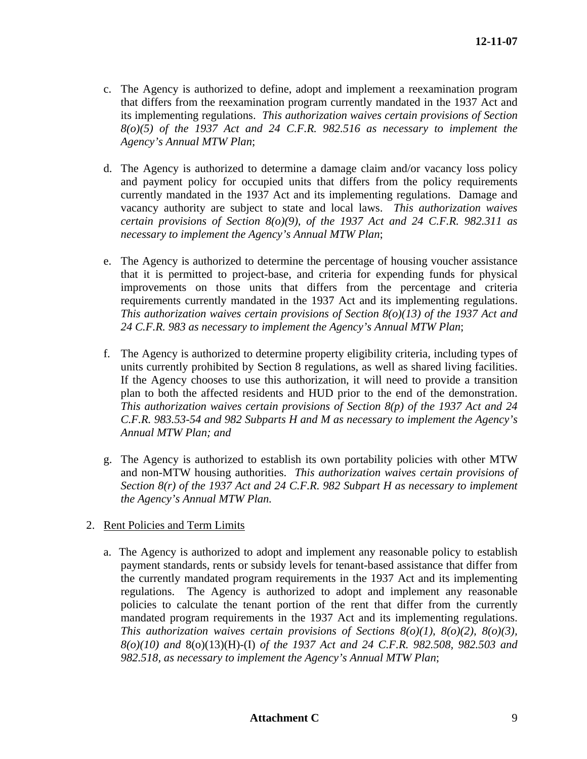- c. The Agency is authorized to define, adopt and implement a reexamination program that differs from the reexamination program currently mandated in the 1937 Act and its implementing regulations. *This authorization waives certain provisions of Section 8(o)(5) of the 1937 Act and 24 C.F.R. 982.516 as necessary to implement the Agency's Annual MTW Plan*;
- d. The Agency is authorized to determine a damage claim and/or vacancy loss policy and payment policy for occupied units that differs from the policy requirements currently mandated in the 1937 Act and its implementing regulations. Damage and vacancy authority are subject to state and local laws. *This authorization waives certain provisions of Section 8(o)(9), of the 1937 Act and 24 C.F.R. 982.311 as necessary to implement the Agency's Annual MTW Plan*;
- e. The Agency is authorized to determine the percentage of housing voucher assistance that it is permitted to project-base, and criteria for expending funds for physical improvements on those units that differs from the percentage and criteria requirements currently mandated in the 1937 Act and its implementing regulations. *This authorization waives certain provisions of Section 8(o)(13) of the 1937 Act and 24 C.F.R. 983 as necessary to implement the Agency's Annual MTW Plan*;
- f. The Agency is authorized to determine property eligibility criteria, including types of units currently prohibited by Section 8 regulations, as well as shared living facilities. If the Agency chooses to use this authorization, it will need to provide a transition plan to both the affected residents and HUD prior to the end of the demonstration. *This authorization waives certain provisions of Section 8(p) of the 1937 Act and 24 C.F.R. 983.53-54 and 982 Subparts H and M as necessary to implement the Agency's Annual MTW Plan; and*
- g. The Agency is authorized to establish its own portability policies with other MTW and non-MTW housing authorities. *This authorization waives certain provisions of Section 8(r) of the 1937 Act and 24 C.F.R. 982 Subpart H as necessary to implement the Agency's Annual MTW Plan.*
- 2. Rent Policies and Term Limits
	- a. The Agency is authorized to adopt and implement any reasonable policy to establish payment standards, rents or subsidy levels for tenant-based assistance that differ from the currently mandated program requirements in the 1937 Act and its implementing regulations. The Agency is authorized to adopt and implement any reasonable policies to calculate the tenant portion of the rent that differ from the currently mandated program requirements in the 1937 Act and its implementing regulations. *This authorization waives certain provisions of Sections 8(o)(1), 8(o)(2), 8(o)(3), 8(o)(10) and* 8(o)(13)(H)-(I) *of the 1937 Act and 24 C.F.R. 982.508, 982.503 and 982.518, as necessary to implement the Agency's Annual MTW Plan*;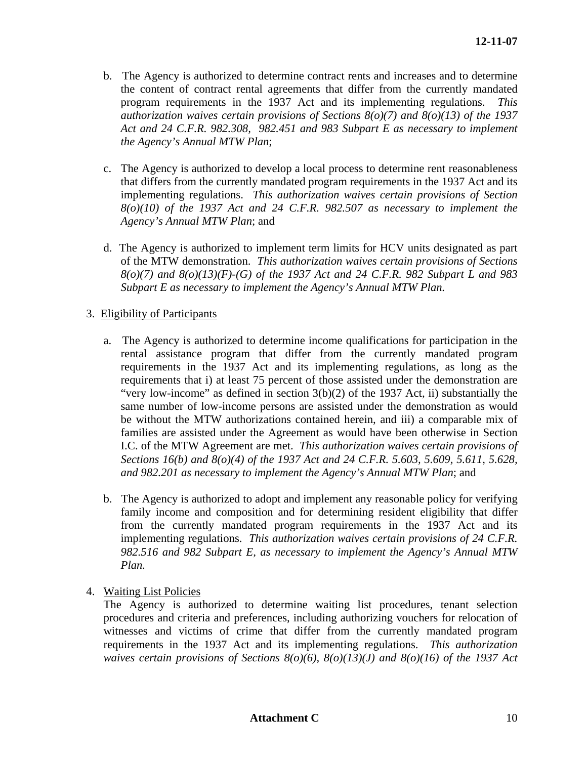- b. The Agency is authorized to determine contract rents and increases and to determine the content of contract rental agreements that differ from the currently mandated program requirements in the 1937 Act and its implementing regulations. *This authorization waives certain provisions of Sections 8(o)(7) and 8(o)(13) of the 1937 Act and 24 C.F.R. 982.308, 982.451 and 983 Subpart E as necessary to implement the Agency's Annual MTW Plan*;
- c. The Agency is authorized to develop a local process to determine rent reasonableness that differs from the currently mandated program requirements in the 1937 Act and its implementing regulations. *This authorization waives certain provisions of Section 8(o)(10) of the 1937 Act and 24 C.F.R. 982.507 as necessary to implement the Agency's Annual MTW Plan*; and
- d. The Agency is authorized to implement term limits for HCV units designated as part of the MTW demonstration. *This authorization waives certain provisions of Sections 8(o)(7) and 8(o)(13)(F)-(G) of the 1937 Act and 24 C.F.R. 982 Subpart L and 983 Subpart E as necessary to implement the Agency's Annual MTW Plan.*

# 3. Eligibility of Participants

- a. The Agency is authorized to determine income qualifications for participation in the rental assistance program that differ from the currently mandated program requirements in the 1937 Act and its implementing regulations, as long as the requirements that i) at least 75 percent of those assisted under the demonstration are "very low-income" as defined in section  $3(b)(2)$  of the 1937 Act, ii) substantially the same number of low-income persons are assisted under the demonstration as would be without the MTW authorizations contained herein, and iii) a comparable mix of families are assisted under the Agreement as would have been otherwise in Section I.C. of the MTW Agreement are met. *This authorization waives certain provisions of Sections 16(b) and 8(o)(4) of the 1937 Act and 24 C.F.R. 5.603, 5.609, 5.611, 5.628, and 982.201 as necessary to implement the Agency's Annual MTW Plan*; and
- b. The Agency is authorized to adopt and implement any reasonable policy for verifying family income and composition and for determining resident eligibility that differ from the currently mandated program requirements in the 1937 Act and its implementing regulations. *This authorization waives certain provisions of 24 C.F.R. 982.516 and 982 Subpart E, as necessary to implement the Agency's Annual MTW Plan.*
- 4. Waiting List Policies

The Agency is authorized to determine waiting list procedures, tenant selection procedures and criteria and preferences, including authorizing vouchers for relocation of witnesses and victims of crime that differ from the currently mandated program requirements in the 1937 Act and its implementing regulations. *This authorization waives certain provisions of Sections 8(o)(6), 8(o)(13)(J) and 8(o)(16) of the 1937 Act*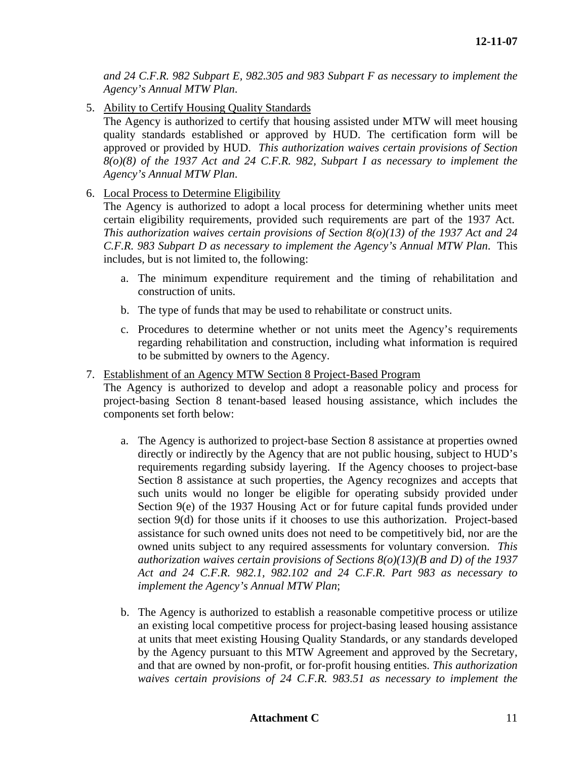*and 24 C.F.R. 982 Subpart E, 982.305 and 983 Subpart F as necessary to implement the Agency's Annual MTW Plan*.

5. Ability to Certify Housing Quality Standards

The Agency is authorized to certify that housing assisted under MTW will meet housing quality standards established or approved by HUD. The certification form will be approved or provided by HUD. *This authorization waives certain provisions of Section 8(o)(8) of the 1937 Act and 24 C.F.R. 982, Subpart I as necessary to implement the Agency's Annual MTW Plan*.

6. Local Process to Determine Eligibility

The Agency is authorized to adopt a local process for determining whether units meet certain eligibility requirements, provided such requirements are part of the 1937 Act. *This authorization waives certain provisions of Section 8(o)(13) of the 1937 Act and 24 C.F.R. 983 Subpart D as necessary to implement the Agency's Annual MTW Plan*. This includes, but is not limited to, the following:

- a. The minimum expenditure requirement and the timing of rehabilitation and construction of units.
- b. The type of funds that may be used to rehabilitate or construct units.
- c. Procedures to determine whether or not units meet the Agency's requirements regarding rehabilitation and construction, including what information is required to be submitted by owners to the Agency.
- 7. Establishment of an Agency MTW Section 8 Project-Based Program

The Agency is authorized to develop and adopt a reasonable policy and process for project-basing Section 8 tenant-based leased housing assistance, which includes the components set forth below:

- a. The Agency is authorized to project-base Section 8 assistance at properties owned directly or indirectly by the Agency that are not public housing, subject to HUD's requirements regarding subsidy layering. If the Agency chooses to project-base Section 8 assistance at such properties, the Agency recognizes and accepts that such units would no longer be eligible for operating subsidy provided under Section 9(e) of the 1937 Housing Act or for future capital funds provided under section 9(d) for those units if it chooses to use this authorization. Project-based assistance for such owned units does not need to be competitively bid, nor are the owned units subject to any required assessments for voluntary conversion. *This authorization waives certain provisions of Sections 8(o)(13)(B and D) of the 1937 Act and 24 C.F.R. 982.1, 982.102 and 24 C.F.R. Part 983 as necessary to implement the Agency's Annual MTW Plan*;
- b. The Agency is authorized to establish a reasonable competitive process or utilize an existing local competitive process for project-basing leased housing assistance at units that meet existing Housing Quality Standards, or any standards developed by the Agency pursuant to this MTW Agreement and approved by the Secretary, and that are owned by non-profit, or for-profit housing entities. *This authorization waives certain provisions of 24 C.F.R. 983.51 as necessary to implement the*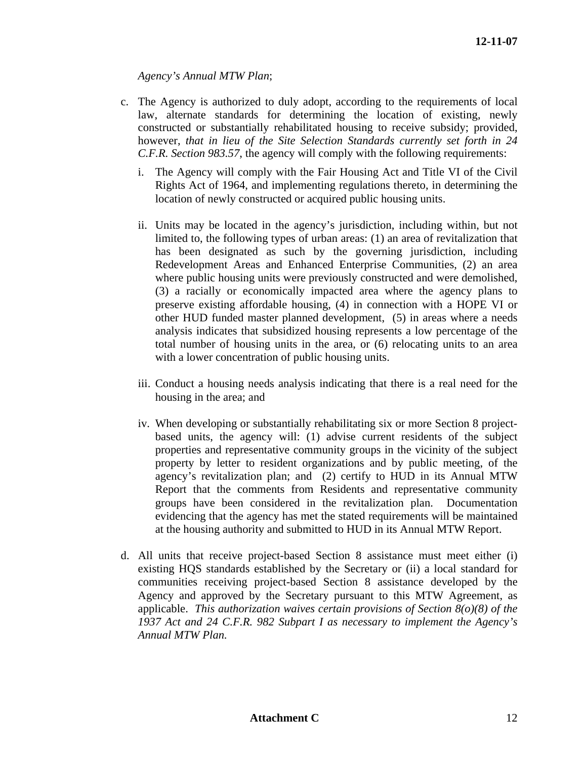*Agency's Annual MTW Plan*;

- c. The Agency is authorized to duly adopt, according to the requirements of local law, alternate standards for determining the location of existing, newly constructed or substantially rehabilitated housing to receive subsidy; provided, however, *that in lieu of the Site Selection Standards currently set forth in 24 C.F.R. Section 983.57*, the agency will comply with the following requirements:
	- i. The Agency will comply with the Fair Housing Act and Title VI of the Civil Rights Act of 1964, and implementing regulations thereto, in determining the location of newly constructed or acquired public housing units.
	- ii. Units may be located in the agency's jurisdiction, including within, but not limited to, the following types of urban areas: (1) an area of revitalization that has been designated as such by the governing jurisdiction, including Redevelopment Areas and Enhanced Enterprise Communities, (2) an area where public housing units were previously constructed and were demolished, (3) a racially or economically impacted area where the agency plans to preserve existing affordable housing, (4) in connection with a HOPE VI or other HUD funded master planned development, (5) in areas where a needs analysis indicates that subsidized housing represents a low percentage of the total number of housing units in the area, or (6) relocating units to an area with a lower concentration of public housing units.
	- iii. Conduct a housing needs analysis indicating that there is a real need for the housing in the area; and
	- iv. When developing or substantially rehabilitating six or more Section 8 projectbased units, the agency will: (1) advise current residents of the subject properties and representative community groups in the vicinity of the subject property by letter to resident organizations and by public meeting, of the agency's revitalization plan; and (2) certify to HUD in its Annual MTW Report that the comments from Residents and representative community groups have been considered in the revitalization plan. Documentation evidencing that the agency has met the stated requirements will be maintained at the housing authority and submitted to HUD in its Annual MTW Report.
- d. All units that receive project-based Section 8 assistance must meet either (i) existing HQS standards established by the Secretary or (ii) a local standard for communities receiving project-based Section 8 assistance developed by the Agency and approved by the Secretary pursuant to this MTW Agreement, as applicable. *This authorization waives certain provisions of Section 8(o)(8) of the 1937 Act and 24 C.F.R. 982 Subpart I as necessary to implement the Agency's Annual MTW Plan.*